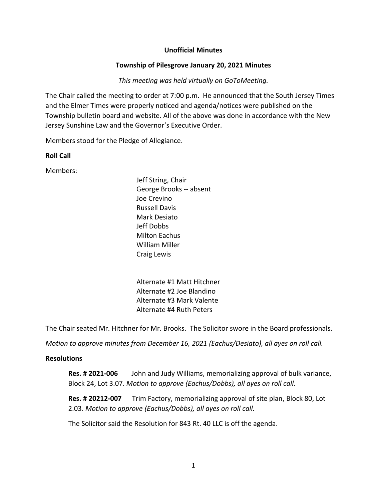### **Unofficial Minutes**

### **Township of Pilesgrove January 20, 2021 Minutes**

### *This meeting was held virtually on GoToMeeting.*

The Chair called the meeting to order at 7:00 p.m. He announced that the South Jersey Times and the Elmer Times were properly noticed and agenda/notices were published on the Township bulletin board and website. All of the above was done in accordance with the New Jersey Sunshine Law and the Governor's Executive Order.

Members stood for the Pledge of Allegiance.

### **Roll Call**

Members:

Jeff String, Chair George Brooks -- absent Joe Crevino Russell Davis Mark Desiato Jeff Dobbs Milton Eachus William Miller Craig Lewis

Alternate #1 Matt Hitchner Alternate #2 Joe Blandino Alternate #3 Mark Valente Alternate #4 Ruth Peters

The Chair seated Mr. Hitchner for Mr. Brooks. The Solicitor swore in the Board professionals.

*Motion to approve minutes from December 16, 2021 (Eachus/Desiato), all ayes on roll call.* 

#### **Resolutions**

**Res. # 2021-006** John and Judy Williams, memorializing approval of bulk variance, Block 24, Lot 3.07. *Motion to approve (Eachus/Dobbs), all ayes on roll call.*

**Res. # 20212-007** Trim Factory, memorializing approval of site plan, Block 80, Lot 2.03. *Motion to approve (Eachus/Dobbs), all ayes on roll call.*

The Solicitor said the Resolution for 843 Rt. 40 LLC is off the agenda.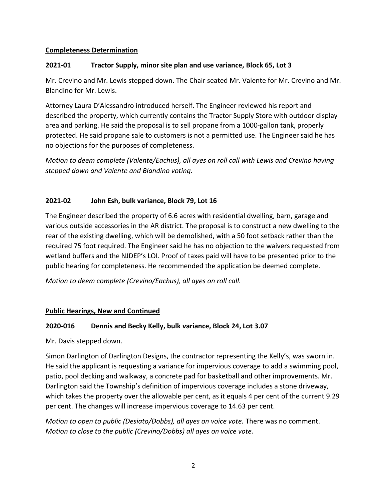### **Completeness Determination**

## **2021-01 Tractor Supply, minor site plan and use variance, Block 65, Lot 3**

Mr. Crevino and Mr. Lewis stepped down. The Chair seated Mr. Valente for Mr. Crevino and Mr. Blandino for Mr. Lewis.

Attorney Laura D'Alessandro introduced herself. The Engineer reviewed his report and described the property, which currently contains the Tractor Supply Store with outdoor display area and parking. He said the proposal is to sell propane from a 1000-gallon tank, properly protected. He said propane sale to customers is not a permitted use. The Engineer said he has no objections for the purposes of completeness.

*Motion to deem complete (Valente/Eachus), all ayes on roll call with Lewis and Crevino having stepped down and Valente and Blandino voting.* 

## **2021-02 John Esh, bulk variance, Block 79, Lot 16**

The Engineer described the property of 6.6 acres with residential dwelling, barn, garage and various outside accessories in the AR district. The proposal is to construct a new dwelling to the rear of the existing dwelling, which will be demolished, with a 50 foot setback rather than the required 75 foot required. The Engineer said he has no objection to the waivers requested from wetland buffers and the NJDEP's LOI. Proof of taxes paid will have to be presented prior to the public hearing for completeness. He recommended the application be deemed complete.

*Motion to deem complete (Crevino/Eachus), all ayes on roll call.* 

## **Public Hearings, New and Continued**

### **2020-016 Dennis and Becky Kelly, bulk variance, Block 24, Lot 3.07**

Mr. Davis stepped down.

Simon Darlington of Darlington Designs, the contractor representing the Kelly's, was sworn in. He said the applicant is requesting a variance for impervious coverage to add a swimming pool, patio, pool decking and walkway, a concrete pad for basketball and other improvements. Mr. Darlington said the Township's definition of impervious coverage includes a stone driveway, which takes the property over the allowable per cent, as it equals 4 per cent of the current 9.29 per cent. The changes will increase impervious coverage to 14.63 per cent.

*Motion to open to public (Desiato/Dobbs), all ayes on voice vote.* There was no comment. *Motion to close to the public (Crevino/Dobbs) all ayes on voice vote.*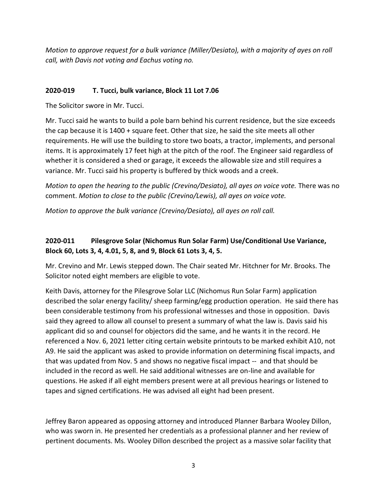*Motion to approve request for a bulk variance (Miller/Desiato), with a majority of ayes on roll call, with Davis not voting and Eachus voting no.*

### **2020-019 T. Tucci, bulk variance, Block 11 Lot 7.06**

The Solicitor swore in Mr. Tucci.

Mr. Tucci said he wants to build a pole barn behind his current residence, but the size exceeds the cap because it is 1400 + square feet. Other that size, he said the site meets all other requirements. He will use the building to store two boats, a tractor, implements, and personal items. It is approximately 17 feet high at the pitch of the roof. The Engineer said regardless of whether it is considered a shed or garage, it exceeds the allowable size and still requires a variance. Mr. Tucci said his property is buffered by thick woods and a creek.

*Motion to open the hearing to the public (Crevino/Desiato), all ayes on voice vote.* There was no comment. *Motion to close to the public (Crevino/Lewis), all ayes on voice vote.*

*Motion to approve the bulk variance (Crevino/Desiato), all ayes on roll call.* 

# **2020-011 Pilesgrove Solar (Nichomus Run Solar Farm) Use/Conditional Use Variance, Block 60, Lots 3, 4, 4.01, 5, 8, and 9, Block 61 Lots 3, 4, 5.**

Mr. Crevino and Mr. Lewis stepped down. The Chair seated Mr. Hitchner for Mr. Brooks. The Solicitor noted eight members are eligible to vote.

Keith Davis, attorney for the Pilesgrove Solar LLC (Nichomus Run Solar Farm) application described the solar energy facility/ sheep farming/egg production operation. He said there has been considerable testimony from his professional witnesses and those in opposition. Davis said they agreed to allow all counsel to present a summary of what the law is. Davis said his applicant did so and counsel for objectors did the same, and he wants it in the record. He referenced a Nov. 6, 2021 letter citing certain website printouts to be marked exhibit A10, not A9. He said the applicant was asked to provide information on determining fiscal impacts, and that was updated from Nov. 5 and shows no negative fiscal impact -- and that should be included in the record as well. He said additional witnesses are on-line and available for questions. He asked if all eight members present were at all previous hearings or listened to tapes and signed certifications. He was advised all eight had been present.

Jeffrey Baron appeared as opposing attorney and introduced Planner Barbara Wooley Dillon, who was sworn in. He presented her credentials as a professional planner and her review of pertinent documents. Ms. Wooley Dillon described the project as a massive solar facility that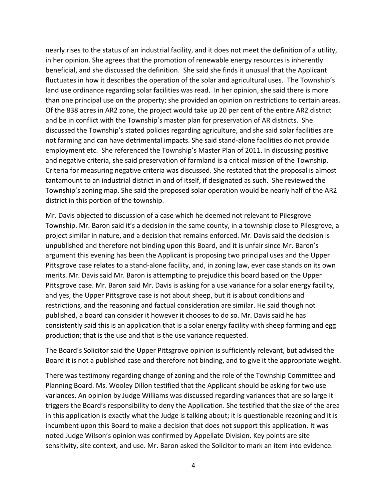nearly rises to the status of an industrial facility, and it does not meet the definition of a utility, in her opinion. She agrees that the promotion of renewable energy resources is inherently beneficial, and she discussed the definition. She said she finds it unusual that the Applicant fluctuates in how it describes the operation of the solar and agricultural uses. The Township's land use ordinance regarding solar facilities was read. In her opinion, she said there is more than one principal use on the property; she provided an opinion on restrictions to certain areas. Of the 838 acres in AR2 zone, the project would take up 20 per cent of the entire AR2 district and be in conflict with the Township's master plan for preservation of AR districts. She discussed the Township's stated policies regarding agriculture, and she said solar facilities are not farming and can have detrimental impacts. She said stand-alone facilities do not provide employment etc. She referenced the Township's Master Plan of 2011. In discussing positive and negative criteria, she said preservation of farmland is a critical mission of the Township. Criteria for measuring negative criteria was discussed. She restated that the proposal is almost tantamount to an industrial district in and of itself, if designated as such. She reviewed the Township's zoning map. She said the proposed solar operation would be nearly half of the AR2 district in this portion of the township.

Mr. Davis objected to discussion of a case which he deemed not relevant to Pilesgrove Township. Mr. Baron said it's a decision in the same county, in a township close to Pilesgrove, a project similar in nature, and a decision that remains enforced. Mr. Davis said the decision is unpublished and therefore not binding upon this Board, and it is unfair since Mr. Baron's argument this evening has been the Applicant is proposing two principal uses and the Upper Pittsgrove case relates to a stand-alone facility, and, in zoning law, ever case stands on its own merits. Mr. Davis said Mr. Baron is attempting to prejudice this board based on the Upper Pittsgrove case. Mr. Baron said Mr. Davis is asking for a use variance for a solar energy facility, and yes, the Upper Pittsgrove case is not about sheep, but it is about conditions and restrictions, and the reasoning and factual consideration are similar. He said though not published, a board can consider it however it chooses to do so. Mr. Davis said he has consistently said this is an application that is a solar energy facility with sheep farming and egg production; that is the use and that is the use variance requested.

The Board's Solicitor said the Upper Pittsgrove opinion is sufficiently relevant, but advised the Board it is not a published case and therefore not binding, and to give it the appropriate weight.

There was testimony regarding change of zoning and the role of the Township Committee and Planning Board. Ms. Wooley Dillon testified that the Applicant should be asking for two use variances. An opinion by Judge Williams was discussed regarding variances that are so large it triggers the Board's responsibility to deny the Application. She testified that the size of the area in this application is exactly what the Judge is talking about; it is questionable rezoning and it is incumbent upon this Board to make a decision that does not support this application. It was noted Judge Wilson's opinion was confirmed by Appellate Division. Key points are site sensitivity, site context, and use. Mr. Baron asked the Solicitor to mark an item into evidence.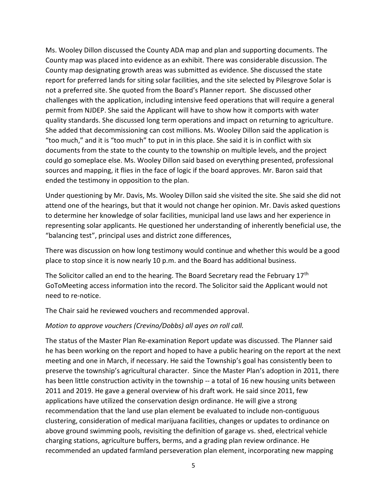Ms. Wooley Dillon discussed the County ADA map and plan and supporting documents. The County map was placed into evidence as an exhibit. There was considerable discussion. The County map designating growth areas was submitted as evidence. She discussed the state report for preferred lands for siting solar facilities, and the site selected by Pilesgrove Solar is not a preferred site. She quoted from the Board's Planner report. She discussed other challenges with the application, including intensive feed operations that will require a general permit from NJDEP. She said the Applicant will have to show how it comports with water quality standards. She discussed long term operations and impact on returning to agriculture. She added that decommissioning can cost millions. Ms. Wooley Dillon said the application is "too much," and it is "too much" to put in in this place. She said it is in conflict with six documents from the state to the county to the township on multiple levels, and the project could go someplace else. Ms. Wooley Dillon said based on everything presented, professional sources and mapping, it flies in the face of logic if the board approves. Mr. Baron said that ended the testimony in opposition to the plan.

Under questioning by Mr. Davis, Ms. Wooley Dillon said she visited the site. She said she did not attend one of the hearings, but that it would not change her opinion. Mr. Davis asked questions to determine her knowledge of solar facilities, municipal land use laws and her experience in representing solar applicants. He questioned her understanding of inherently beneficial use, the "balancing test", principal uses and district zone differences,

There was discussion on how long testimony would continue and whether this would be a good place to stop since it is now nearly 10 p.m. and the Board has additional business.

The Solicitor called an end to the hearing. The Board Secretary read the February 17<sup>th</sup> GoToMeeting access information into the record. The Solicitor said the Applicant would not need to re-notice.

The Chair said he reviewed vouchers and recommended approval.

#### *Motion to approve vouchers (Crevino/Dobbs) all ayes on roll call.*

The status of the Master Plan Re-examination Report update was discussed. The Planner said he has been working on the report and hoped to have a public hearing on the report at the next meeting and one in March, if necessary. He said the Township's goal has consistently been to preserve the township's agricultural character. Since the Master Plan's adoption in 2011, there has been little construction activity in the township -- a total of 16 new housing units between 2011 and 2019. He gave a general overview of his draft work. He said since 2011, few applications have utilized the conservation design ordinance. He will give a strong recommendation that the land use plan element be evaluated to include non-contiguous clustering, consideration of medical marijuana facilities, changes or updates to ordinance on above ground swimming pools, revisiting the definition of garage vs. shed, electrical vehicle charging stations, agriculture buffers, berms, and a grading plan review ordinance. He recommended an updated farmland perseveration plan element, incorporating new mapping